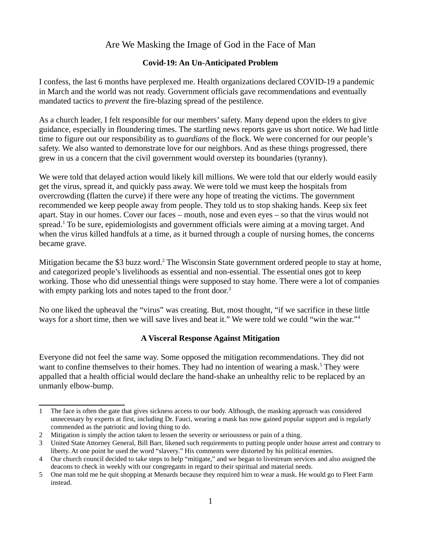### **Covid-19: An Un-Anticipated Problem**

I confess, the last 6 months have perplexed me. Health organizations declared COVID-19 a pandemic in March and the world was not ready. Government officials gave recommendations and eventually mandated tactics to *prevent* the fire-blazing spread of the pestilence.

As a church leader, I felt responsible for our members' safety. Many depend upon the elders to give guidance, especially in floundering times. The startling news reports gave us short notice. We had little time to figure out our responsibility as to *guardians* of the flock. We were concerned for our people's safety. We also wanted to demonstrate love for our neighbors. And as these things progressed, there grew in us a concern that the civil government would overstep its boundaries (tyranny).

We were told that delayed action would likely kill millions. We were told that our elderly would easily get the virus, spread it, and quickly pass away. We were told we must keep the hospitals from overcrowding (flatten the curve) if there were any hope of treating the victims. The government recommended we keep people away from people. They told us to stop shaking hands. Keep six feet apart. Stay in our homes. Cover our faces – mouth, nose and even eyes – so that the virus would not spread.<sup>[1](#page-0-0)</sup> To be sure, epidemiologists and government officials were aiming at a moving target. And when the virus killed handfuls at a time, as it burned through a couple of nursing homes, the concerns became grave.

Mitigation became the \$3 buzz word.<sup>[2](#page-0-1)</sup> The Wisconsin State government ordered people to stay at home, and categorized people's livelihoods as essential and non-essential. The essential ones got to keep working. Those who did unessential things were supposed to stay home. There were a lot of companies with empty parking lots and notes taped to the front door.<sup>[3](#page-0-2)</sup>

No one liked the upheaval the "virus" was creating. But, most thought, "if we sacrifice in these little ways for a short time, then we will save lives and beat it." We were told we could "win the war."[4](#page-0-3)

### **A Visceral Response Against Mitigation**

Everyone did not feel the same way. Some opposed the mitigation recommendations. They did not want to confine themselves to their homes. They had no intention of wearing a mask.<sup>[5](#page-0-4)</sup> They were appalled that a health official would declare the hand-shake an unhealthy relic to be replaced by an unmanly elbow-bump.

<span id="page-0-0"></span><sup>1</sup> The face is often the gate that gives sickness access to our body. Although, the masking approach was considered unnecessary by experts at first, including Dr. Fauci, wearing a mask has now gained popular support and is regularly commended as the patriotic and loving thing to do.

<span id="page-0-1"></span><sup>2</sup> Mitigation is simply the action taken to lessen the severity or seriousness or pain of a thing.

<span id="page-0-2"></span><sup>3</sup> United State Attorney General, Bill Barr, likened such requirements to putting people under house arrest and contrary to liberty. At one point he used the word "slavery." His comments were distorted by his political enemies.

<span id="page-0-3"></span><sup>4</sup> Our church council decided to take steps to help "mitigate," and we began to livestream services and also assigned the deacons to check in weekly with our congregants in regard to their spiritual and material needs.

<span id="page-0-4"></span><sup>5</sup> One man told me he quit shopping at Menards because they required him to wear a mask. He would go to Fleet Farm instead.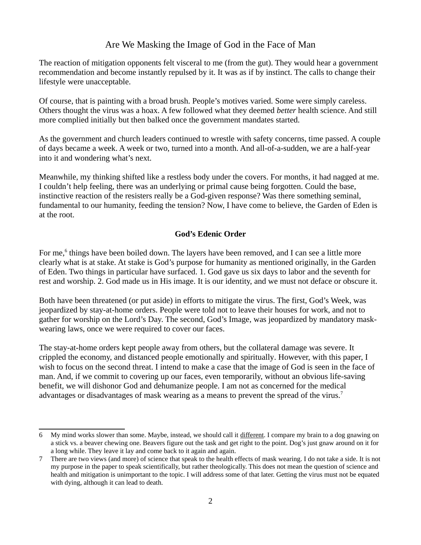The reaction of mitigation opponents felt visceral to me (from the gut). They would hear a government recommendation and become instantly repulsed by it. It was as if by instinct. The calls to change their lifestyle were unacceptable.

Of course, that is painting with a broad brush. People's motives varied. Some were simply careless. Others thought the virus was a hoax. A few followed what they deemed *better* health science. And still more complied initially but then balked once the government mandates started.

As the government and church leaders continued to wrestle with safety concerns, time passed. A couple of days became a week. A week or two, turned into a month. And all-of-a-sudden, we are a half-year into it and wondering what's next.

Meanwhile, my thinking shifted like a restless body under the covers. For months, it had nagged at me. I couldn't help feeling, there was an underlying or primal cause being forgotten. Could the base, instinctive reaction of the resisters really be a God-given response? Was there something seminal, fundamental to our humanity, feeding the tension? Now, I have come to believe, the Garden of Eden is at the root.

## **God's Edenic Order**

For me,<sup>[6](#page-1-0)</sup> things have been boiled down. The layers have been removed, and I can see a little more clearly what is at stake. At stake is God's purpose for humanity as mentioned originally, in the Garden of Eden. Two things in particular have surfaced. 1. God gave us six days to labor and the seventh for rest and worship. 2. God made us in His image. It is our identity, and we must not deface or obscure it.

Both have been threatened (or put aside) in efforts to mitigate the virus. The first, God's Week, was jeopardized by stay-at-home orders. People were told not to leave their houses for work, and not to gather for worship on the Lord's Day. The second, God's Image, was jeopardized by mandatory maskwearing laws, once we were required to cover our faces.

The stay-at-home orders kept people away from others, but the collateral damage was severe. It crippled the economy, and distanced people emotionally and spiritually. However, with this paper, I wish to focus on the second threat. I intend to make a case that the image of God is seen in the face of man. And, if we commit to covering up our faces, even temporarily, without an obvious life-saving benefit, we will dishonor God and dehumanize people. I am not as concerned for the medical advantages or disadvantages of mask wearing as a means to prevent the spread of the virus.<sup>[7](#page-1-1)</sup>

<span id="page-1-0"></span><sup>6</sup> My mind works slower than some. Maybe, instead, we should call it different. I compare my brain to a dog gnawing on a stick vs. a beaver chewing one. Beavers figure out the task and get right to the point. Dog's just gnaw around on it for a long while. They leave it lay and come back to it again and again.

<span id="page-1-1"></span><sup>7</sup> There are two views (and more) of science that speak to the health effects of mask wearing. I do not take a side. It is not my purpose in the paper to speak scientifically, but rather theologically. This does not mean the question of science and health and mitigation is unimportant to the topic. I will address some of that later. Getting the virus must not be equated with dying, although it can lead to death.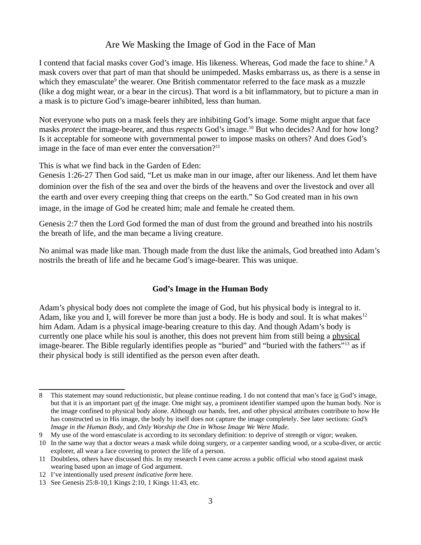I contend that facial masks cover God's image. His likeness. Whereas, God made the face to shine.<sup>[8](#page-2-0)</sup> A mask covers over that part of man that should be unimpeded. Masks embarrass us, as there is a sense in which they emasculate<sup>[9](#page-2-1)</sup> the wearer. One British commentator referred to the face mask as a muzzle (like a dog might wear, or a bear in the circus). That word is a bit inflammatory, but to picture a man in a mask is to picture God's image-bearer inhibited, less than human.

Not everyone who puts on a mask feels they are inhibiting God's image. Some might argue that face masks *protect* the image-bearer, and thus *respects* God's image.[10](#page-2-2) But who decides? And for how long? Is it acceptable for someone with governmental power to impose masks on others? And does God's image in the face of man ever enter the conversation? $11$ 

This is what we find back in the Garden of Eden:

Genesis 1:26-27 Then God said, "Let us make man in our image, after our likeness. And let them have dominion over the fish of the sea and over the birds of the heavens and over the livestock and over all the earth and over every creeping thing that creeps on the earth." So God created man in his own image, in the image of God he created him; male and female he created them.

Genesis 2:7 then the Lord God formed the man of dust from the ground and breathed into his nostrils the breath of life, and the man became a living creature.

No animal was made like man. Though made from the dust like the animals, God breathed into Adam's nostrils the breath of life and he became God's image-bearer. This was unique.

### **God's Image in the Human Body**

Adam's physical body does not complete the image of God, but his physical body is integral to it. Adam, like you and I, will forever be more than just a body. He is body and soul. It is what makes<sup>[12](#page-2-4)</sup> him Adam. Adam is a physical image-bearing creature to this day. And though Adam's body is currently one place while his soul is another, this does not prevent him from still being a physical image-bearer. The Bible regularly identifies people as "buried" and "buried with the fathers"<sup>[13](#page-2-5)</sup> as if their physical body is still identified as the person even after death.

<span id="page-2-0"></span><sup>8</sup> This statement may sound reductionistic, but please continue reading. I do not contend that man's face is God's image, but that it is an important part of the image. One might say, a prominent identifier stamped upon the human body. Nor is the image confined to physical body alone. Although our hands, feet, and other physical attributes contribute to how He has constructed us in His image, the body by itself does not capture the image completely. See later sections: *God's Image in the Human Body*, and *Only Worship the One in Whose Image We Were Made.*

<span id="page-2-1"></span><sup>9</sup> My use of the word emasculate is according to its secondary definition: to deprive of strength or vigor; weaken.

<span id="page-2-2"></span><sup>10</sup> In the same way that a doctor wears a mask while doing surgery, or a carpenter sanding wood, or a scuba-diver, or arctic explorer, all wear a face covering to protect the life of a person.

<span id="page-2-3"></span><sup>11</sup> Doubtless, others have discussed this. In my research I even came across a public official who stood against mask wearing based upon an image of God argument.

<span id="page-2-4"></span><sup>12</sup> I've intentionally used *present indicative form* here.

<span id="page-2-5"></span><sup>13</sup> See Genesis 25:8-10,1 Kings 2:10, 1 Kings 11:43, etc.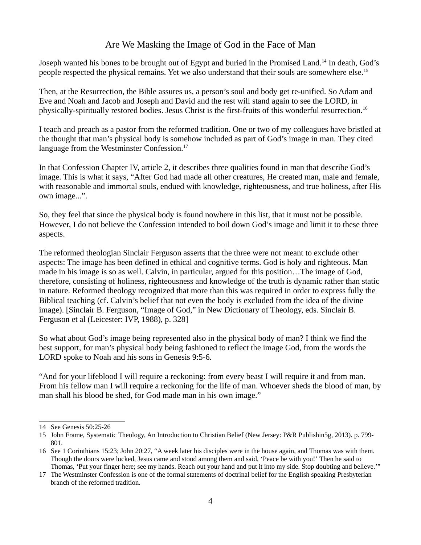Joseph wanted his bones to be brought out of Egypt and buried in the Promised Land.<sup>[14](#page-3-0)</sup> In death, God's people respected the physical remains. Yet we also understand that their souls are somewhere else.<sup>[15](#page-3-1)</sup>

Then, at the Resurrection, the Bible assures us, a person's soul and body get re-unified. So Adam and Eve and Noah and Jacob and Joseph and David and the rest will stand again to see the LORD, in physically-spiritually restored bodies. Jesus Christ is the first-fruits of this wonderful resurrection.<sup>[16](#page-3-2)</sup>

I teach and preach as a pastor from the reformed tradition. One or two of my colleagues have bristled at the thought that man's physical body is somehow included as part of God's image in man. They cited language from the Westminster Confession.<sup>[17](#page-3-3)</sup>

In that Confession Chapter IV, article 2, it describes three qualities found in man that describe God's image. This is what it says, "After God had made all other creatures, He created man, male and female, with reasonable and immortal souls, endued with knowledge, righteousness, and true holiness, after His own image...".

So, they feel that since the physical body is found nowhere in this list, that it must not be possible. However, I do not believe the Confession intended to boil down God's image and limit it to these three aspects.

The reformed theologian Sinclair Ferguson asserts that the three were not meant to exclude other aspects: The image has been defined in ethical and cognitive terms. God is holy and righteous. Man made in his image is so as well. Calvin, in particular, argued for this position…The image of God, therefore, consisting of holiness, righteousness and knowledge of the truth is dynamic rather than static in nature. Reformed theology recognized that more than this was required in order to express fully the Biblical teaching (cf. Calvin's belief that not even the body is excluded from the idea of the divine image). [Sinclair B. Ferguson, "Image of God," in New Dictionary of Theology, eds. Sinclair B. Ferguson et al (Leicester: IVP, 1988), p. 328]

So what about God's image being represented also in the physical body of man? I think we find the best support, for man's physical body being fashioned to reflect the image God, from the words the LORD spoke to Noah and his sons in Genesis 9:5-6.

"And for your lifeblood I will require a reckoning: from every beast I will require it and from man. From his fellow man I will require a reckoning for the life of man. Whoever sheds the blood of man, by man shall his blood be shed, for God made man in his own image."

<span id="page-3-0"></span><sup>14</sup> See Genesis 50:25-26

<span id="page-3-1"></span><sup>15</sup> John Frame, Systematic Theology, An Introduction to Christian Belief (New Jersey: P&R Publishin5g, 2013). p. 799- 801.

<span id="page-3-2"></span><sup>16</sup> See 1 Corinthians 15:23; John 20:27, "A week later his disciples were in the house again, and Thomas was with them. Though the doors were locked, Jesus came and stood among them and said, 'Peace be with you!' Then he said to Thomas, 'Put your finger here; see my hands. Reach out your hand and put it into my side. Stop doubting and believe.'"

<span id="page-3-3"></span><sup>17</sup> The Westminster Confession is one of the formal statements of doctrinal belief for the English speaking Presbyterian branch of the reformed tradition.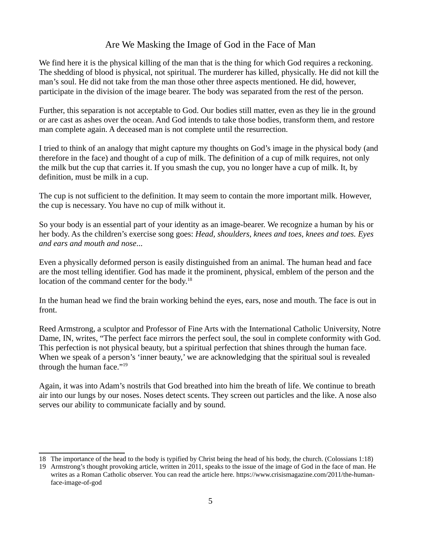We find here it is the physical killing of the man that is the thing for which God requires a reckoning. The shedding of blood is physical, not spiritual. The murderer has killed, physically. He did not kill the man's soul. He did not take from the man those other three aspects mentioned. He did, however, participate in the division of the image bearer. The body was separated from the rest of the person.

Further, this separation is not acceptable to God. Our bodies still matter, even as they lie in the ground or are cast as ashes over the ocean. And God intends to take those bodies, transform them, and restore man complete again. A deceased man is not complete until the resurrection.

I tried to think of an analogy that might capture my thoughts on God's image in the physical body (and therefore in the face) and thought of a cup of milk. The definition of a cup of milk requires, not only the milk but the cup that carries it. If you smash the cup, you no longer have a cup of milk. It, by definition, must be milk in a cup.

The cup is not sufficient to the definition. It may seem to contain the more important milk. However, the cup is necessary. You have no cup of milk without it.

So your body is an essential part of your identity as an image-bearer. We recognize a human by his or her body. As the children's exercise song goes: *Head, shoulders, knees and toes, knees and toes. Eyes and ears and mouth and nose*...

Even a physically deformed person is easily distinguished from an animal. The human head and face are the most telling identifier. God has made it the prominent, physical, emblem of the person and the location of the command center for the body.<sup>[18](#page-4-0)</sup>

In the human head we find the brain working behind the eyes, ears, nose and mouth. The face is out in front.

Reed Armstrong, a sculptor and Professor of Fine Arts with the International Catholic University, Notre Dame, IN, writes, "The perfect face mirrors the perfect soul, the soul in complete conformity with God. This perfection is not physical beauty, but a spiritual perfection that shines through the human face. When we speak of a person's 'inner beauty,' we are acknowledging that the spiritual soul is revealed through the human face."<sup>[19](#page-4-1)</sup>

Again, it was into Adam's nostrils that God breathed into him the breath of life. We continue to breath air into our lungs by our noses. Noses detect scents. They screen out particles and the like. A nose also serves our ability to communicate facially and by sound.

<span id="page-4-0"></span><sup>18</sup> The importance of the head to the body is typified by Christ being the head of his body, the church. (Colossians 1:18)

<span id="page-4-1"></span><sup>19</sup> Armstrong's thought provoking article, written in 2011, speaks to the issue of the image of God in the face of man. He writes as a Roman Catholic observer. You can read the article here. https://www.crisismagazine.com/2011/the-humanface-image-of-god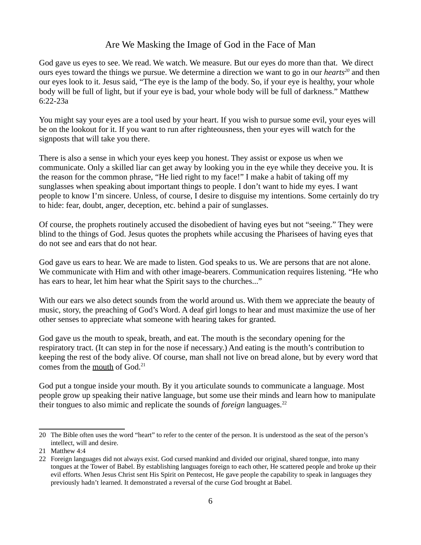God gave us eyes to see. We read. We watch. We measure. But our eyes do more than that. We direct ours eyes toward the things we pursue. We determine a direction we want to go in our *hearts[20](#page-5-0)* and then our eyes look to it. Jesus said, "The eye is the lamp of the body. So, if your eye is healthy, your whole body will be full of light, but if your eye is bad, your whole body will be full of darkness." Matthew 6:22-23a

You might say your eyes are a tool used by your heart. If you wish to pursue some evil, your eyes will be on the lookout for it. If you want to run after righteousness, then your eyes will watch for the signposts that will take you there.

There is also a sense in which your eyes keep you honest. They assist or expose us when we communicate. Only a skilled liar can get away by looking you in the eye while they deceive you. It is the reason for the common phrase, "He lied right to my face!" I make a habit of taking off my sunglasses when speaking about important things to people. I don't want to hide my eyes. I want people to know I'm sincere. Unless, of course, I desire to disguise my intentions. Some certainly do try to hide: fear, doubt, anger, deception, etc. behind a pair of sunglasses.

Of course, the prophets routinely accused the disobedient of having eyes but not "seeing." They were blind to the things of God. Jesus quotes the prophets while accusing the Pharisees of having eyes that do not see and ears that do not hear.

God gave us ears to hear. We are made to listen. God speaks to us. We are persons that are not alone. We communicate with Him and with other image-bearers. Communication requires listening. "He who has ears to hear, let him hear what the Spirit says to the churches..."

With our ears we also detect sounds from the world around us. With them we appreciate the beauty of music, story, the preaching of God's Word. A deaf girl longs to hear and must maximize the use of her other senses to appreciate what someone with hearing takes for granted.

God gave us the mouth to speak, breath, and eat. The mouth is the secondary opening for the respiratory tract. (It can step in for the nose if necessary.) And eating is the mouth's contribution to keeping the rest of the body alive. Of course, man shall not live on bread alone, but by every word that comes from the mouth of God.<sup>[21](#page-5-1)</sup>

God put a tongue inside your mouth. By it you articulate sounds to communicate a language. Most people grow up speaking their native language, but some use their minds and learn how to manipulate their tongues to also mimic and replicate the sounds of *foreign* languages.<sup>[22](#page-5-2)</sup>

<span id="page-5-0"></span><sup>20</sup> The Bible often uses the word "heart" to refer to the center of the person. It is understood as the seat of the person's intellect, will and desire.

<span id="page-5-1"></span><sup>21</sup> Matthew 4:4

<span id="page-5-2"></span><sup>22</sup> Foreign languages did not always exist. God cursed mankind and divided our original, shared tongue, into many tongues at the Tower of Babel. By establishing languages foreign to each other, He scattered people and broke up their evil efforts. When Jesus Christ sent His Spirit on Pentecost, He gave people the capability to speak in languages they previously hadn't learned. It demonstrated a reversal of the curse God brought at Babel.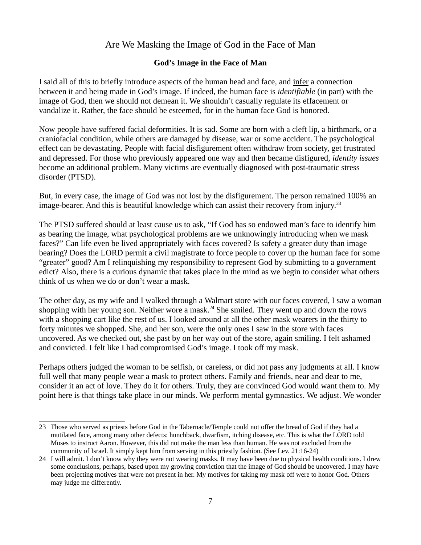### **God's Image in the Face of Man**

I said all of this to briefly introduce aspects of the human head and face, and infer a connection between it and being made in God's image. If indeed, the human face is *identifiable* (in part) with the image of God, then we should not demean it. We shouldn't casually regulate its effacement or vandalize it. Rather, the face should be esteemed, for in the human face God is honored.

Now people have suffered facial deformities. It is sad. Some are born with a cleft lip, a birthmark, or a craniofacial condition, while others are damaged by disease, war or some accident. The psychological effect can be devastating. People with facial disfigurement often withdraw from society, get frustrated and depressed. For those who previously appeared one way and then became disfigured, *identity issues* become an additional problem. Many victims are eventually diagnosed with post-traumatic stress disorder (PTSD).

But, in every case, the image of God was not lost by the disfigurement. The person remained 100% an image-bearer. And this is beautiful knowledge which can assist their recovery from injury.<sup>[23](#page-6-0)</sup>

The PTSD suffered should at least cause us to ask, "If God has so endowed man's face to identify him as bearing the image, what psychological problems are we unknowingly introducing when we mask faces?" Can life even be lived appropriately with faces covered? Is safety a greater duty than image bearing? Does the LORD permit a civil magistrate to force people to cover up the human face for some "greater" good? Am I relinquishing my responsibility to represent God by submitting to a government edict? Also, there is a curious dynamic that takes place in the mind as we begin to consider what others think of us when we do or don't wear a mask.

The other day, as my wife and I walked through a Walmart store with our faces covered, I saw a woman shopping with her young son. Neither wore a mask.<sup>[24](#page-6-1)</sup> She smiled. They went up and down the rows with a shopping cart like the rest of us. I looked around at all the other mask wearers in the thirty to forty minutes we shopped. She, and her son, were the only ones I saw in the store with faces uncovered. As we checked out, she past by on her way out of the store, again smiling. I felt ashamed and convicted. I felt like I had compromised God's image. I took off my mask.

Perhaps others judged the woman to be selfish, or careless, or did not pass any judgments at all. I know full well that many people wear a mask to protect others. Family and friends, near and dear to me, consider it an act of love. They do it for others. Truly, they are convinced God would want them to. My point here is that things take place in our minds. We perform mental gymnastics. We adjust. We wonder

<span id="page-6-0"></span><sup>23</sup> Those who served as priests before God in the Tabernacle/Temple could not offer the bread of God if they had a mutilated face, among many other defects: hunchback, dwarfism, itching disease, etc. This is what the LORD told Moses to instruct Aaron. However, this did not make the man less than human. He was not excluded from the community of Israel. It simply kept him from serving in this priestly fashion. (See Lev. 21:16-24)

<span id="page-6-1"></span><sup>24</sup> I will admit. I don't know why they were not wearing masks. It may have been due to physical health conditions. I drew some conclusions, perhaps, based upon my growing conviction that the image of God should be uncovered. I may have been projecting motives that were not present in her. My motives for taking my mask off were to honor God. Others may judge me differently.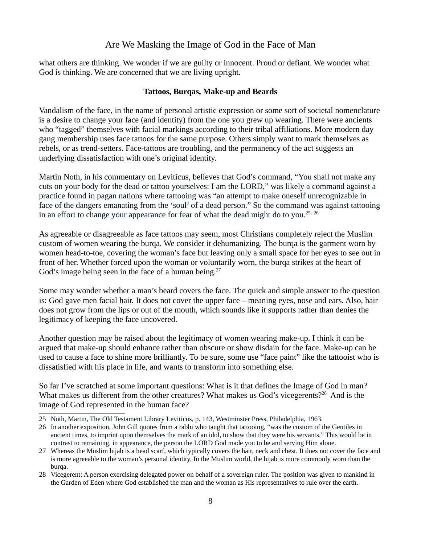what others are thinking. We wonder if we are guilty or innocent. Proud or defiant. We wonder what God is thinking. We are concerned that we are living upright.

### **Tattoos, Burqas, Make-up and Beards**

Vandalism of the face, in the name of personal artistic expression or some sort of societal nomenclature is a desire to change your face (and identity) from the one you grew up wearing. There were ancients who "tagged" themselves with facial markings according to their tribal affiliations. More modern day gang membership uses face tattoos for the same purpose. Others simply want to mark themselves as rebels, or as trend-setters. Face-tattoos are troubling, and the permanency of the act suggests an underlying dissatisfaction with one's original identity.

Martin Noth, in his commentary on Leviticus, believes that God's command, "You shall not make any cuts on your body for the dead or tattoo yourselves: I am the LORD," was likely a command against a practice found in pagan nations where tattooing was "an attempt to make oneself unrecognizable in face of the dangers emanating from the 'soul' of a dead person." So the command was against tattooing in an effort to change your appearance for fear of what the dead might do to you.<sup>[25,](#page-7-0) [26](#page-7-1)</sup>

As agreeable or disagreeable as face tattoos may seem, most Christians completely reject the Muslim custom of women wearing the burqa. We consider it dehumanizing. The burqa is the garment worn by women head-to-toe, covering the woman's face but leaving only a small space for her eyes to see out in front of her. Whether forced upon the woman or voluntarily worn, the burqa strikes at the heart of God's image being seen in the face of a human being. $27$ 

Some may wonder whether a man's beard covers the face. The quick and simple answer to the question is: God gave men facial hair. It does not cover the upper face – meaning eyes, nose and ears. Also, hair does not grow from the lips or out of the mouth, which sounds like it supports rather than denies the legitimacy of keeping the face uncovered.

Another question may be raised about the legitimacy of women wearing make-up. I think it can be argued that make-up should enhance rather than obscure or show disdain for the face. Make-up can be used to cause a face to shine more brilliantly. To be sure, some use "face paint" like the tattooist who is dissatisfied with his place in life, and wants to transform into something else.

So far I've scratched at some important questions: What is it that defines the Image of God in man? What makes us different from the other creatures? What makes us God's vicegerents?<sup>[28](#page-7-3)</sup> And is the image of God represented in the human face?

<span id="page-7-0"></span><sup>25</sup> Noth, Martin, The Old Testament Library Leviticus, p. 143, Westminster Press, Philadelphia, 1963.

<span id="page-7-1"></span><sup>26</sup> In another exposition, John Gill quotes from a rabbi who taught that tattooing, "was the custom of the Gentiles in ancient times, to imprint upon themselves the mark of an idol, to show that they were his servants." This would be in contrast to remaining, in appearance, the person the LORD God made you to be and serving Him alone.

<span id="page-7-2"></span><sup>27</sup> Whereas the Muslim hijab is a head scarf, which typically covers the hair, neck and chest. It does not cover the face and is more agreeable to the woman's personal identity. In the Muslim world, the hijab is more commonly worn than the burga.

<span id="page-7-3"></span><sup>28</sup> Vicegerent: A person exercising delegated power on behalf of a sovereign ruler. The position was given to mankind in the Garden of Eden where God established the man and the woman as His representatives to rule over the earth.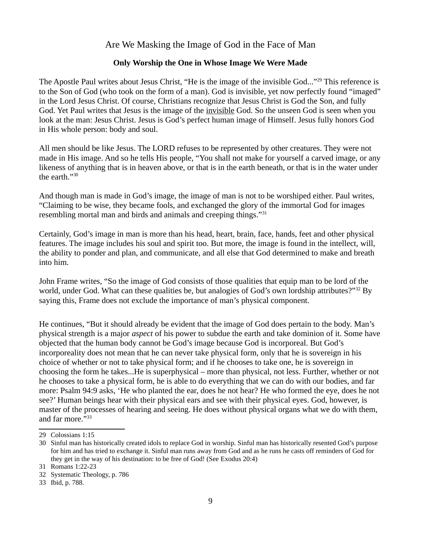### **Only Worship the One in Whose Image We Were Made**

The Apostle Paul writes about Jesus Christ, "He is the image of the invisible God..."<sup>[29](#page-8-0)</sup> This reference is to the Son of God (who took on the form of a man). God is invisible, yet now perfectly found "imaged" in the Lord Jesus Christ. Of course, Christians recognize that Jesus Christ is God the Son, and fully God. Yet Paul writes that Jesus is the image of the invisible God. So the unseen God is seen when you look at the man: Jesus Christ. Jesus is God's perfect human image of Himself. Jesus fully honors God in His whole person: body and soul.

All men should be like Jesus. The LORD refuses to be represented by other creatures. They were not made in His image. And so he tells His people, "You shall not make for yourself a carved image, or any likeness of anything that is in heaven above, or that is in the earth beneath, or that is in the water under the earth."[30](#page-8-1)

And though man is made in God's image, the image of man is not to be worshiped either. Paul writes, "Claiming to be wise, they became fools, and exchanged the glory of the immortal God for images resembling mortal man and birds and animals and creeping things."<sup>[31](#page-8-2)</sup>

Certainly, God's image in man is more than his head, heart, brain, face, hands, feet and other physical features. The image includes his soul and spirit too. But more, the image is found in the intellect, will, the ability to ponder and plan, and communicate, and all else that God determined to make and breath into him.

John Frame writes, "So the image of God consists of those qualities that equip man to be lord of the world, under God. What can these qualities be, but analogies of God's own lordship attributes?"<sup>[32](#page-8-3)</sup> By saying this, Frame does not exclude the importance of man's physical component.

He continues, "But it should already be evident that the image of God does pertain to the body. Man's physical strength is a major *aspect* of his power to subdue the earth and take dominion of it. Some have objected that the human body cannot be God's image because God is incorporeal. But God's incorporeality does not mean that he can never take physical form, only that he is sovereign in his choice of whether or not to take physical form; and if he chooses to take one, he is sovereign in choosing the form he takes...He is superphysical – more than physical, not less. Further, whether or not he chooses to take a physical form, he is able to do everything that we can do with our bodies, and far more: Psalm 94:9 asks, 'He who planted the ear, does he not hear? He who formed the eye, does he not see?' Human beings hear with their physical ears and see with their physical eyes. God, however, is master of the processes of hearing and seeing. He does without physical organs what we do with them, and far more."[33](#page-8-4)

<span id="page-8-0"></span><sup>29</sup> Colossians 1:15

<span id="page-8-1"></span><sup>30</sup> Sinful man has historically created idols to replace God in worship. Sinful man has historically resented God's purpose for him and has tried to exchange it. Sinful man runs away from God and as he runs he casts off reminders of God for they get in the way of his destination: to be free of God! (See Exodus 20:4)

<span id="page-8-2"></span><sup>31</sup> Romans 1:22-23

<span id="page-8-3"></span><sup>32</sup> Systematic Theology, p. 786

<span id="page-8-4"></span><sup>33</sup> Ibid, p. 788.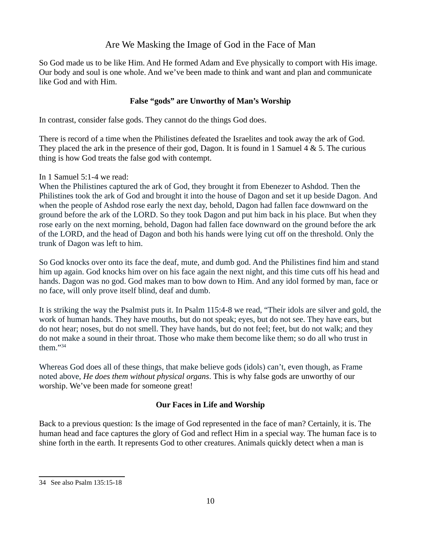So God made us to be like Him. And He formed Adam and Eve physically to comport with His image. Our body and soul is one whole. And we've been made to think and want and plan and communicate like God and with Him.

### **False "gods" are Unworthy of Man's Worship**

In contrast, consider false gods. They cannot do the things God does.

There is record of a time when the Philistines defeated the Israelites and took away the ark of God. They placed the ark in the presence of their god, Dagon. It is found in 1 Samuel 4 & 5. The curious thing is how God treats the false god with contempt.

In 1 Samuel 5:1-4 we read:

When the Philistines captured the ark of God, they brought it from Ebenezer to Ashdod. Then the Philistines took the ark of God and brought it into the house of Dagon and set it up beside Dagon. And when the people of Ashdod rose early the next day, behold, Dagon had fallen face downward on the ground before the ark of the LORD. So they took Dagon and put him back in his place. But when they rose early on the next morning, behold, Dagon had fallen face downward on the ground before the ark of the LORD, and the head of Dagon and both his hands were lying cut off on the threshold. Only the trunk of Dagon was left to him.

So God knocks over onto its face the deaf, mute, and dumb god. And the Philistines find him and stand him up again. God knocks him over on his face again the next night, and this time cuts off his head and hands. Dagon was no god. God makes man to bow down to Him. And any idol formed by man, face or no face, will only prove itself blind, deaf and dumb.

It is striking the way the Psalmist puts it. In Psalm 115:4-8 we read, "Their idols are silver and gold, the work of human hands. They have mouths, but do not speak; eyes, but do not see. They have ears, but do not hear; noses, but do not smell. They have hands, but do not feel; feet, but do not walk; and they do not make a sound in their throat. Those who make them become like them; so do all who trust in them."[34](#page-9-0)

Whereas God does all of these things, that make believe gods (idols) can't, even though, as Frame noted above, *He does them without physical organs*. This is why false gods are unworthy of our worship. We've been made for someone great!

## **Our Faces in Life and Worship**

Back to a previous question: Is the image of God represented in the face of man? Certainly, it is. The human head and face captures the glory of God and reflect Him in a special way. The human face is to shine forth in the earth. It represents God to other creatures. Animals quickly detect when a man is

<span id="page-9-0"></span><sup>34</sup> See also Psalm 135:15-18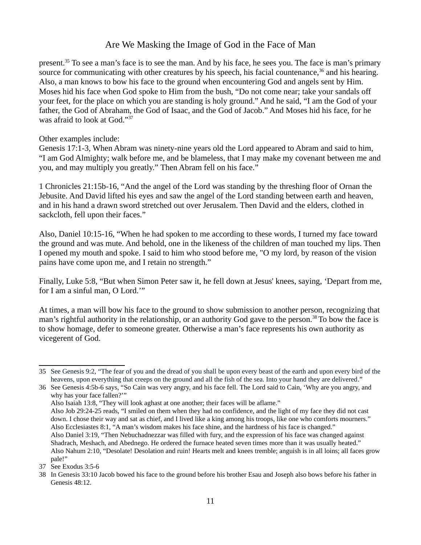present.<sup>[35](#page-10-0)</sup> To see a man's face is to see the man. And by his face, he sees you. The face is man's primary source for communicating with other creatures by his speech, his facial countenance,  $36$  and his hearing. Also, a man knows to bow his face to the ground when encountering God and angels sent by Him. Moses hid his face when God spoke to Him from the bush, "Do not come near; take your sandals off your feet, for the place on which you are standing is holy ground." And he said, "I am the God of your father, the God of Abraham, the God of Isaac, and the God of Jacob." And Moses hid his face, for he was afraid to look at God."<sup>[37](#page-10-2)</sup>

Other examples include:

Genesis 17:1-3, When Abram was ninety-nine years old the Lord appeared to Abram and said to him, "I am God Almighty; walk before me, and be blameless, that I may make my covenant between me and you, and may multiply you greatly." Then Abram fell on his face."

1 Chronicles 21:15b-16, "And the angel of the Lord was standing by the threshing floor of Ornan the Jebusite. And David lifted his eyes and saw the angel of the Lord standing between earth and heaven, and in his hand a drawn sword stretched out over Jerusalem. Then David and the elders, clothed in sackcloth, fell upon their faces."

Also, Daniel 10:15-16, "When he had spoken to me according to these words, I turned my face toward the ground and was mute. And behold, one in the likeness of the children of man touched my lips. Then I opened my mouth and spoke. I said to him who stood before me, "O my lord, by reason of the vision pains have come upon me, and I retain no strength."

Finally, Luke 5:8, "But when Simon Peter saw it, he fell down at Jesus' knees, saying, 'Depart from me, for I am a sinful man, O Lord.'"

At times, a man will bow his face to the ground to show submission to another person, recognizing that man's rightful authority in the relationship, or an authority God gave to the person.<sup>[38](#page-10-3)</sup> To bow the face is to show homage, defer to someone greater. Otherwise a man's face represents his own authority as vicegerent of God.

Also Isaiah 13:8, "They will look aghast at one another; their faces will be aflame." Also Job 29:24-25 reads, "I smiled on them when they had no confidence, and the light of my face they did not cast down. I chose their way and sat as chief, and I lived like a king among his troops, like one who comforts mourners." Also Ecclesiastes 8:1, "A man's wisdom makes his face shine, and the hardness of his face is changed." Also Daniel 3:19, "Then Nebuchadnezzar was filled with fury, and the expression of his face was changed against Shadrach, Meshach, and Abednego. He ordered the furnace heated seven times more than it was usually heated."

<span id="page-10-0"></span><sup>35</sup> See Genesis 9:2, "The fear of you and the dread of you shall be upon every beast of the earth and upon every bird of the heavens, upon everything that creeps on the ground and all the fish of the sea. Into your hand they are delivered."

<span id="page-10-1"></span><sup>36</sup> See Genesis 4:5b-6 says, "So Cain was very angry, and his face fell. The Lord said to Cain, 'Why are you angry, and why has your face fallen?""

Also Nahum 2:10, "Desolate! Desolation and ruin! Hearts melt and knees tremble; anguish is in all loins; all faces grow pale!"

<span id="page-10-2"></span><sup>37</sup> See Exodus 3:5-6

<span id="page-10-3"></span><sup>38</sup> In Genesis 33:10 Jacob bowed his face to the ground before his brother Esau and Joseph also bows before his father in Genesis 48:12.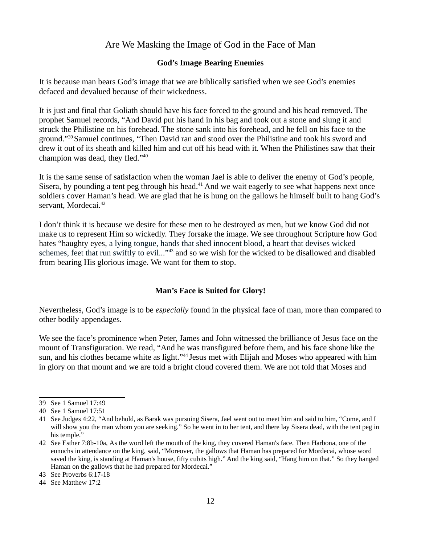### **God's Image Bearing Enemies**

It is because man bears God's image that we are biblically satisfied when we see God's enemies defaced and devalued because of their wickedness.

It is just and final that Goliath should have his face forced to the ground and his head removed. The prophet Samuel records, "And David put his hand in his bag and took out a stone and slung it and struck the Philistine on his forehead. The stone sank into his forehead, and he fell on his face to the ground."[39](#page-11-0)Samuel continues, "Then David ran and stood over the Philistine and took his sword and drew it out of its sheath and killed him and cut off his head with it. When the Philistines saw that their champion was dead, they fled."[40](#page-11-1)

It is the same sense of satisfaction when the woman Jael is able to deliver the enemy of God's people, Sisera, by pounding a tent peg through his head.<sup>[41](#page-11-2)</sup> And we wait eagerly to see what happens next once soldiers cover Haman's head. We are glad that he is hung on the gallows he himself built to hang God's servant, Mordecai.<sup>[42](#page-11-3)</sup>

I don't think it is because we desire for these men to be destroyed *as* men, but we know God did not make us to represent Him so wickedly. They forsake the image. We see throughout Scripture how God hates "haughty eyes, a lying tongue, hands that shed innocent blood, a heart that devises wicked schemes, feet that run swiftly to evil..."<sup>[43](#page-11-4)</sup> and so we wish for the wicked to be disallowed and disabled from bearing His glorious image. We want for them to stop.

### **Man's Face is Suited for Glory!**

Nevertheless, God's image is to be *especially* found in the physical face of man, more than compared to other bodily appendages.

We see the face's prominence when Peter, James and John witnessed the brilliance of Jesus face on the mount of Transfiguration. We read, "And he was transfigured before them, and his face shone like the sun, and his clothes became white as light."<sup>[44](#page-11-5)</sup> Jesus met with Elijah and Moses who appeared with him in glory on that mount and we are told a bright cloud covered them. We are not told that Moses and

<span id="page-11-0"></span><sup>39</sup> See 1 Samuel 17:49

<span id="page-11-1"></span><sup>40</sup> See 1 Samuel 17:51

<span id="page-11-2"></span><sup>41</sup> See Judges 4:22, "And behold, as Barak was pursuing Sisera, Jael went out to meet him and said to him, "Come, and I will show you the man whom you are seeking." So he went in to her tent, and there lay Sisera dead, with the tent peg in his temple."

<span id="page-11-3"></span><sup>42</sup> See Esther 7:8b-10a, As the word left the mouth of the king, they covered Haman's face. Then Harbona, one of the eunuchs in attendance on the king, said, "Moreover, the gallows that Haman has prepared for Mordecai, whose word saved the king, is standing at Haman's house, fifty cubits high." And the king said, "Hang him on that." So they hanged Haman on the gallows that he had prepared for Mordecai."

<span id="page-11-4"></span><sup>43</sup> See Proverbs 6:17-18

<span id="page-11-5"></span><sup>44</sup> See Matthew 17:2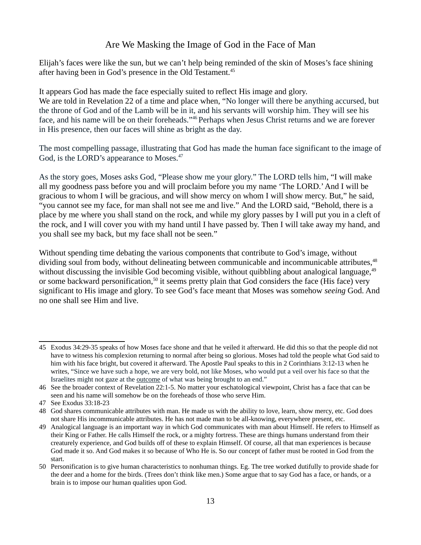Elijah's faces were like the sun, but we can't help being reminded of the skin of Moses's face shining after having been in God's presence in the Old Testament.<sup>[45](#page-12-0)</sup>

It appears God has made the face especially suited to reflect His image and glory. We are told in Revelation 22 of a time and place when, "No longer will there be anything accursed, but the throne of God and of the Lamb will be in it, and his servants will worship him. They will see his face, and his name will be on their foreheads."[46](#page-12-1) Perhaps when Jesus Christ returns and we are forever in His presence, then our faces will shine as bright as the day.

The most compelling passage, illustrating that God has made the human face significant to the image of God, is the LORD's appearance to Moses.<sup>[47](#page-12-2)</sup>

As the story goes, Moses asks God, "Please show me your glory." The LORD tells him, "I will make all my goodness pass before you and will proclaim before you my name 'The LORD.' And I will be gracious to whom I will be gracious, and will show mercy on whom I will show mercy. But," he said, "you cannot see my face, for man shall not see me and live." And the LORD said, "Behold, there is a place by me where you shall stand on the rock, and while my glory passes by I will put you in a cleft of the rock, and I will cover you with my hand until I have passed by. Then I will take away my hand, and you shall see my back, but my face shall not be seen."

Without spending time debating the various components that contribute to God's image, without dividing soul from body, without delineating between communicable and incommunicable attributes,<sup>[48](#page-12-3)</sup> without discussing the invisible God becoming visible, without quibbling about analogical language, <sup>[49](#page-12-4)</sup> or some backward personification,<sup>[50](#page-12-5)</sup> it seems pretty plain that God considers the face (His face) very significant to His image and glory. To see God's face meant that Moses was somehow *seeing* God. And no one shall see Him and live.

<span id="page-12-0"></span><sup>45</sup> Exodus 34:29-35 speaks of how Moses face shone and that he veiled it afterward. He did this so that the people did not have to witness his complexion returning to normal after being so glorious. Moses had told the people what God said to him with his face bright, but covered it afterward. The Apostle Paul speaks to this in 2 Corinthians 3:12-13 when he writes, "Since we have such a hope, we are very bold, not like Moses, who would put a veil over his face so that the Israelites might not gaze at the outcome of what was being brought to an end."

<span id="page-12-1"></span><sup>46</sup> See the broader context of Revelation 22:1-5. No matter your eschatological viewpoint, Christ has a face that can be seen and his name will somehow be on the foreheads of those who serve Him.

<span id="page-12-2"></span><sup>47</sup> See Exodus 33:18-23

<span id="page-12-3"></span><sup>48</sup> God shares communicable attributes with man. He made us with the ability to love, learn, show mercy, etc. God does not share His incommunicable attributes. He has not made man to be all-knowing, everywhere present, etc.

<span id="page-12-4"></span><sup>49</sup> Analogical language is an important way in which God communicates with man about Himself. He refers to Himself as their King or Father. He calls Himself the rock, or a mighty fortress. These are things humans understand from their creaturely experience, and God builds off of these to explain Himself. Of course, all that man experiences is because God made it so. And God makes it so because of Who He is. So our concept of father must be rooted in God from the start.

<span id="page-12-5"></span><sup>50</sup> Personification is to give human characteristics to nonhuman things. Eg. The tree worked dutifully to provide shade for the deer and a home for the birds. (Trees don't think like men.) Some argue that to say God has a face, or hands, or a brain is to impose our human qualities upon God.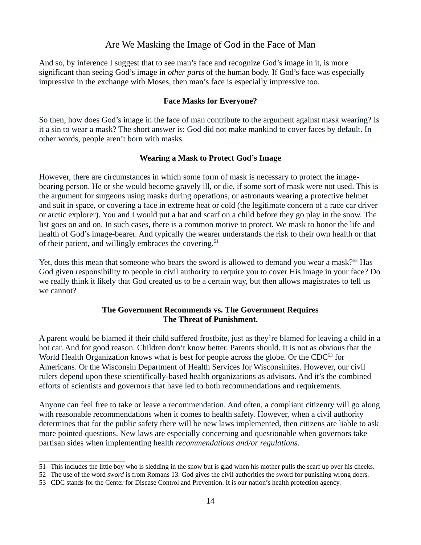And so, by inference I suggest that to see man's face and recognize God's image in it, is more significant than seeing God's image in *other parts* of the human body. If God's face was especially impressive in the exchange with Moses, then man's face is especially impressive too.

#### **Face Masks for Everyone?**

So then, how does God's image in the face of man contribute to the argument against mask wearing? Is it a sin to wear a mask? The short answer is: God did not make mankind to cover faces by default. In other words, people aren't born with masks.

#### **Wearing a Mask to Protect God's Image**

However, there are circumstances in which some form of mask is necessary to protect the imagebearing person. He or she would become gravely ill, or die, if some sort of mask were not used. This is the argument for surgeons using masks during operations, or astronauts wearing a protective helmet and suit in space, or covering a face in extreme heat or cold (the legitimate concern of a race car driver or arctic explorer). You and I would put a hat and scarf on a child before they go play in the snow. The list goes on and on. In such cases, there is a common motive to protect. We mask to honor the life and health of God's image-bearer. And typically the wearer understands the risk to their own health or that of their patient, and willingly embraces the covering.<sup>[51](#page-13-0)</sup>

Yet, does this mean that someone who bears the sword is allowed to demand you wear a mask?<sup>[52](#page-13-1)</sup> Has God given responsibility to people in civil authority to require you to cover His image in your face? Do we really think it likely that God created us to be a certain way, but then allows magistrates to tell us we cannot?

### **The Government Recommends vs. The Government Requires The Threat of Punishment.**

A parent would be blamed if their child suffered frostbite, just as they're blamed for leaving a child in a hot car. And for good reason. Children don't know better. Parents should. It is not as obvious that the World Health Organization knows what is best for people across the globe. Or the CDC<sup>[53](#page-13-2)</sup> for Americans. Or the Wisconsin Department of Health Services for Wisconsinites. However, our civil rulers depend upon these scientifically-based health organizations as advisors. And it's the combined efforts of scientists and governors that have led to both recommendations and requirements.

Anyone can feel free to take or leave a recommendation. And often, a compliant citizenry will go along with reasonable recommendations when it comes to health safety. However, when a civil authority determines that for the public safety there will be new laws implemented, then citizens are liable to ask more pointed questions. New laws are especially concerning and questionable when governors take partisan sides when implementing health *recommendations and/or regulations*.

<span id="page-13-0"></span><sup>51</sup> This includes the little boy who is sledding in the snow but is glad when his mother pulls the scarf up over his cheeks.

<span id="page-13-1"></span><sup>52</sup> The use of the word *sword* is from Romans 13. God gives the civil authorities the sword for punishing wrong doers.

<span id="page-13-2"></span><sup>53</sup> CDC stands for the Center for Disease Control and Prevention. It is our nation's health protection agency.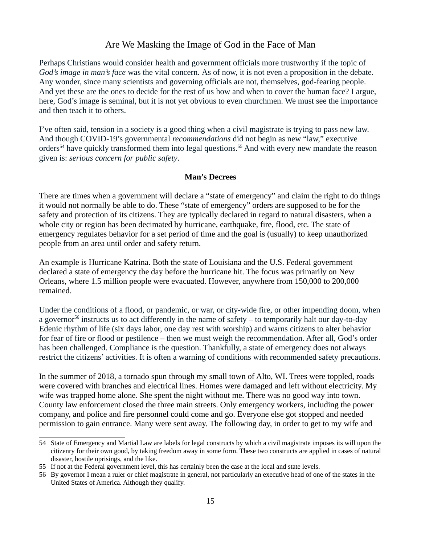Perhaps Christians would consider health and government officials more trustworthy if the topic of *God's image in man's face* was the vital concern. As of now, it is not even a proposition in the debate. Any wonder, since many scientists and governing officials are not, themselves, god-fearing people. And yet these are the ones to decide for the rest of us how and when to cover the human face? I argue, here, God's image is seminal, but it is not yet obvious to even churchmen. We must see the importance and then teach it to others.

I've often said, tension in a society is a good thing when a civil magistrate is trying to pass new law. And though COVID-19's governmental *recommendations* did not begin as new "law," executive orders<sup>[54](#page-14-0)</sup> have quickly transformed them into legal questions.<sup>[55](#page-14-1)</sup> And with every new mandate the reason given is: *serious concern for public safety*.

#### **Man's Decrees**

There are times when a government will declare a "state of emergency" and claim the right to do things it would not normally be able to do. These "state of emergency" orders are supposed to be for the safety and protection of its citizens. They are typically declared in regard to natural disasters, when a whole city or region has been decimated by hurricane, earthquake, fire, flood, etc. The state of emergency regulates behavior for a set period of time and the goal is (usually) to keep unauthorized people from an area until order and safety return.

An example is Hurricane Katrina. Both the state of Louisiana and the U.S. Federal government declared a state of emergency the day before the hurricane hit. The focus was primarily on New Orleans, where 1.5 million people were evacuated. However, anywhere from 150,000 to 200,000 remained.

Under the conditions of a flood, or pandemic, or war, or city-wide fire, or other impending doom, when a governor<sup>[56](#page-14-2)</sup> instructs us to act differently in the name of safety – to temporarily halt our day-to-day Edenic rhythm of life (six days labor, one day rest with worship) and warns citizens to alter behavior for fear of fire or flood or pestilence – then we must weigh the recommendation. After all, God's order has been challenged. Compliance is the question. Thankfully, a state of emergency does not always restrict the citizens' activities. It is often a warning of conditions with recommended safety precautions.

In the summer of 2018, a tornado spun through my small town of Alto, WI. Trees were toppled, roads were covered with branches and electrical lines. Homes were damaged and left without electricity. My wife was trapped home alone. She spent the night without me. There was no good way into town. County law enforcement closed the three main streets. Only emergency workers, including the power company, and police and fire personnel could come and go. Everyone else got stopped and needed permission to gain entrance. Many were sent away. The following day, in order to get to my wife and

<span id="page-14-0"></span><sup>54</sup> State of Emergency and Martial Law are labels for legal constructs by which a civil magistrate imposes its will upon the citizenry for their own good, by taking freedom away in some form. These two constructs are applied in cases of natural disaster, hostile uprisings, and the like.

<span id="page-14-1"></span><sup>55</sup> If not at the Federal government level, this has certainly been the case at the local and state levels.

<span id="page-14-2"></span><sup>56</sup> By governor I mean a ruler or chief magistrate in general, not particularly an executive head of one of the states in the United States of America. Although they qualify.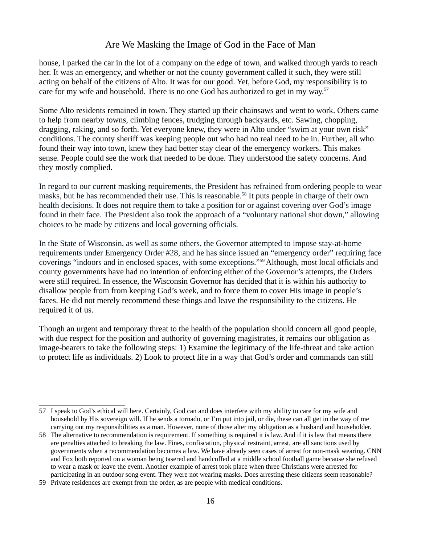house, I parked the car in the lot of a company on the edge of town, and walked through yards to reach her. It was an emergency, and whether or not the county government called it such, they were still acting on behalf of the citizens of Alto. It was for our good. Yet, before God, my responsibility is to care for my wife and household. There is no one God has authorized to get in my way.<sup>[57](#page-15-0)</sup>

Some Alto residents remained in town. They started up their chainsaws and went to work. Others came to help from nearby towns, climbing fences, trudging through backyards, etc. Sawing, chopping, dragging, raking, and so forth. Yet everyone knew, they were in Alto under "swim at your own risk" conditions. The county sheriff was keeping people out who had no real need to be in. Further, all who found their way into town, knew they had better stay clear of the emergency workers. This makes sense. People could see the work that needed to be done. They understood the safety concerns. And they mostly complied.

In regard to our current masking requirements, the President has refrained from ordering people to wear masks, but he has recommended their use. This is reasonable.<sup>[58](#page-15-1)</sup> It puts people in charge of their own health decisions. It does not require them to take a position for or against covering over God's image found in their face. The President also took the approach of a "voluntary national shut down," allowing choices to be made by citizens and local governing officials.

In the State of Wisconsin, as well as some others, the Governor attempted to impose stay-at-home requirements under Emergency Order #28, and he has since issued an "emergency order" requiring face coverings "indoors and in enclosed spaces, with some exceptions."[59](#page-15-2)Although, most local officials and county governments have had no intention of enforcing either of the Governor's attempts, the Orders were still required. In essence, the Wisconsin Governor has decided that it is within his authority to disallow people from from keeping God's week, and to force them to cover His image in people's faces. He did not merely recommend these things and leave the responsibility to the citizens. He required it of us.

Though an urgent and temporary threat to the health of the population should concern all good people, with due respect for the position and authority of governing magistrates, it remains our obligation as image-bearers to take the following steps: 1) Examine the legitimacy of the life-threat and take action to protect life as individuals. 2) Look to protect life in a way that God's order and commands can still

<span id="page-15-0"></span><sup>57</sup> I speak to God's ethical will here. Certainly, God can and does interfere with my ability to care for my wife and household by His sovereign will. If he sends a tornado, or I'm put into jail, or die, these can all get in the way of me carrying out my responsibilities as a man. However, none of those alter my obligation as a husband and householder.

<span id="page-15-1"></span><sup>58</sup> The alternative to recommendation is requirement. If something is required it is law. And if it is law that means there are penalties attached to breaking the law. Fines, confiscation, physical restraint, arrest, are all sanctions used by governments when a recommendation becomes a law. We have already seen cases of arrest for non-mask wearing. CNN and Fox both reported on a woman being tasered and handcuffed at a middle school football game because she refused to wear a mask or leave the event. Another example of arrest took place when three Christians were arrested for participating in an outdoor song event. They were not wearing masks. Does arresting these citizens seem reasonable?

<span id="page-15-2"></span><sup>59</sup> Private residences are exempt from the order, as are people with medical conditions.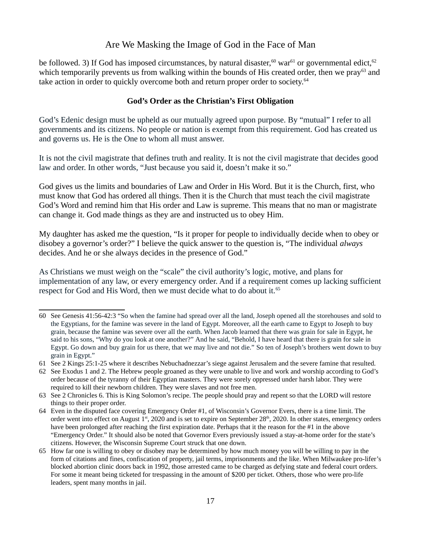be followed. 3) If God has imposed circumstances, by natural disaster,<sup>[60](#page-16-0)</sup> war<sup>[61](#page-16-1)</sup> or governmental edict,<sup>[62](#page-16-2)</sup> which temporarily prevents us from walking within the bounds of His created order, then we pray<sup>[63](#page-16-3)</sup> and take action in order to quickly overcome both and return proper order to society.<sup>[64](#page-16-4)</sup>

#### **God's Order as the Christian's First Obligation**

God's Edenic design must be upheld as our mutually agreed upon purpose. By "mutual" I refer to all governments and its citizens. No people or nation is exempt from this requirement. God has created us and governs us. He is the One to whom all must answer.

It is not the civil magistrate that defines truth and reality. It is not the civil magistrate that decides good law and order. In other words, "Just because you said it, doesn't make it so."

God gives us the limits and boundaries of Law and Order in His Word. But it is the Church, first, who must know that God has ordered all things. Then it is the Church that must teach the civil magistrate God's Word and remind him that His order and Law is supreme. This means that no man or magistrate can change it. God made things as they are and instructed us to obey Him.

My daughter has asked me the question, "Is it proper for people to individually decide when to obey or disobey a governor's order?" I believe the quick answer to the question is, "The individual *always* decides. And he or she always decides in the presence of God."

As Christians we must weigh on the "scale" the civil authority's logic, motive, and plans for implementation of any law, or every emergency order. And if a requirement comes up lacking sufficient respect for God and His Word, then we must decide what to do about it.<sup>[65](#page-16-5)</sup>

<span id="page-16-0"></span><sup>60</sup> See Genesis 41:56-42:3 "So when the famine had spread over all the land, Joseph opened all the storehouses and sold to the Egyptians, for the famine was severe in the land of Egypt. Moreover, all the earth came to Egypt to Joseph to buy grain, because the famine was severe over all the earth. When Jacob learned that there was grain for sale in Egypt, he said to his sons, "Why do you look at one another?" And he said, "Behold, I have heard that there is grain for sale in Egypt. Go down and buy grain for us there, that we may live and not die." So ten of Joseph's brothers went down to buy grain in Egypt."

<span id="page-16-1"></span><sup>61</sup> See 2 Kings 25:1-25 where it describes Nebuchadnezzar's siege against Jerusalem and the severe famine that resulted.

<span id="page-16-2"></span><sup>62</sup> See Exodus 1 and 2. The Hebrew people groaned as they were unable to live and work and worship according to God's order because of the tyranny of their Egyptian masters. They were sorely oppressed under harsh labor. They were required to kill their newborn children. They were slaves and not free men.

<span id="page-16-3"></span><sup>63</sup> See 2 Chronicles 6. This is King Solomon's recipe. The people should pray and repent so that the LORD will restore things to their proper order.

<span id="page-16-4"></span><sup>64</sup> Even in the disputed face covering Emergency Order #1, of Wisconsin's Governor Evers, there is a time limit. The order went into effect on August  $1<sup>st</sup>$ , 2020 and is set to expire on September 28<sup>th</sup>, 2020. In other states, emergency orders have been prolonged after reaching the first expiration date. Perhaps that it the reason for the #1 in the above "Emergency Order." It should also be noted that Governor Evers previously issued a stay-at-home order for the state's citizens. However, the Wisconsin Supreme Court struck that one down.

<span id="page-16-5"></span><sup>65</sup> How far one is willing to obey or disobey may be determined by how much money you will be willing to pay in the form of citations and fines, confiscation of property, jail terms, imprisonments and the like. When Milwaukee pro-lifer's blocked abortion clinic doors back in 1992, those arrested came to be charged as defying state and federal court orders. For some it meant being ticketed for trespassing in the amount of \$200 per ticket. Others, those who were pro-life leaders, spent many months in jail.